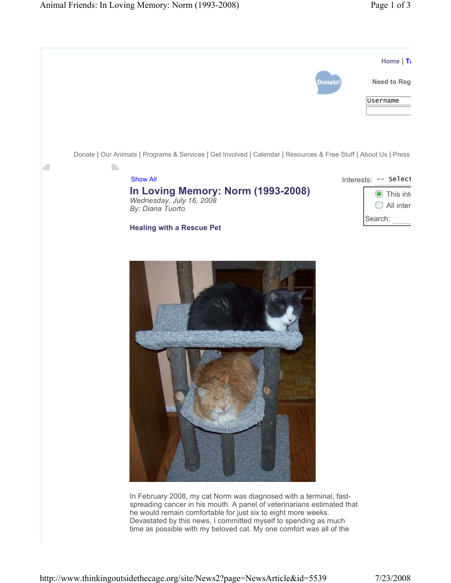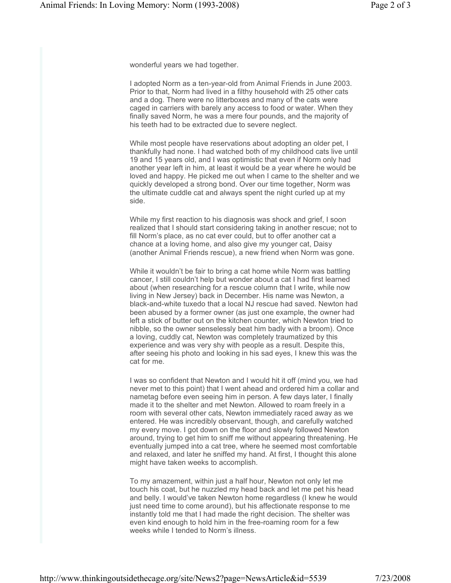wonderful years we had together.

I adopted Norm as a ten-year-old from Animal Friends in June 2003. Prior to that, Norm had lived in a filthy household with 25 other cats and a dog. There were no litterboxes and many of the cats were caged in carriers with barely any access to food or water. When they finally saved Norm, he was a mere four pounds, and the majority of his teeth had to be extracted due to severe neglect.

While most people have reservations about adopting an older pet, I thankfully had none. I had watched both of my childhood cats live until 19 and 15 years old, and I was optimistic that even if Norm only had another year left in him, at least it would be a year where he would be loved and happy. He picked me out when I came to the shelter and we quickly developed a strong bond. Over our time together, Norm was the ultimate cuddle cat and always spent the night curled up at my side.

While my first reaction to his diagnosis was shock and grief, I soon realized that I should start considering taking in another rescue; not to fill Norm's place, as no cat ever could, but to offer another cat a chance at a loving home, and also give my younger cat, Daisy (another Animal Friends rescue), a new friend when Norm was gone.

While it wouldn't be fair to bring a cat home while Norm was battling cancer, I still couldn't help but wonder about a cat I had first learned about (when researching for a rescue column that I write, while now living in New Jersey) back in December. His name was Newton, a black-and-white tuxedo that a local NJ rescue had saved. Newton had been abused by a former owner (as just one example, the owner had left a stick of butter out on the kitchen counter, which Newton tried to nibble, so the owner senselessly beat him badly with a broom). Once a loving, cuddly cat, Newton was completely traumatized by this experience and was very shy with people as a result. Despite this, after seeing his photo and looking in his sad eyes, I knew this was the cat for me.

I was so confident that Newton and I would hit it off (mind you, we had never met to this point) that I went ahead and ordered him a collar and nametag before even seeing him in person. A few days later, I finally made it to the shelter and met Newton. Allowed to roam freely in a room with several other cats, Newton immediately raced away as we entered. He was incredibly observant, though, and carefully watched my every move. I got down on the floor and slowly followed Newton around, trying to get him to sniff me without appearing threatening. He eventually jumped into a cat tree, where he seemed most comfortable and relaxed, and later he sniffed my hand. At first, I thought this alone might have taken weeks to accomplish.

To my amazement, within just a half hour, Newton not only let me touch his coat, but he nuzzled my head back and let me pet his head and belly. I would've taken Newton home regardless (I knew he would just need time to come around), but his affectionate response to me instantly told me that I had made the right decision. The shelter was even kind enough to hold him in the free-roaming room for a few weeks while I tended to Norm's illness.